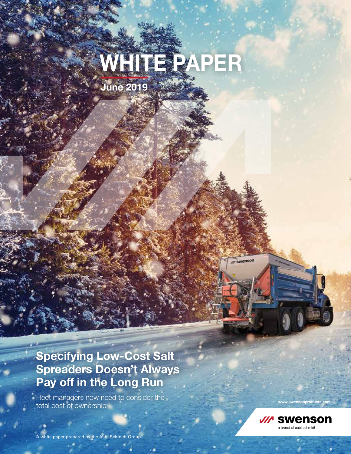# **WHITE PAPER**

**June 2019**

**Specifying Low-Cost Salt Spreaders Doesn't Always Pay off in the Long Run**

Fleet managers now need to consider the total cost of ownership



w swenson

**www.swensonproducts.com**

A white paper prepared by the Aebi Schmidt Group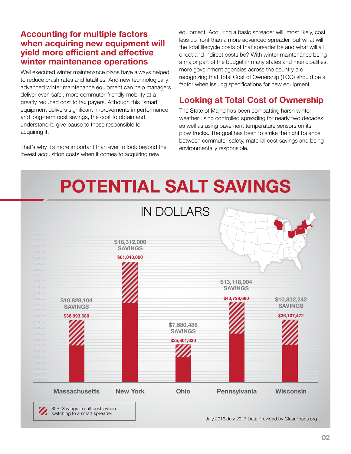#### **Accounting for multiple factors when acquiring new equipment will yield more efficient and effective winter maintenance operations**

Well executed winter maintenance plans have always helped to reduce crash rates and fatalities. And new technologically advanced winter maintenance equipment can help managers deliver even safer, more commuter-friendly mobility at a greatly reduced cost to tax payers. Although this "smart" equipment delivers significant improvements in performance and long-term cost savings, the cost to obtain and understand it, give pause to those responsible for acquiring it.

That's why it's more important than ever to look beyond the lowest acquisition costs when it comes to acquiring new

equipment. Acquiring a basic spreader will, most likely, cost less up front than a more advanced spreader, but what will the total lifecycle costs of that spreader be and what will all direct and indirect costs be? With winter maintenance being a major part of the budget in many states and municipalities, more government agencies across the country are recognizing that Total Cost of Ownership (TCO) should be a factor when issuing specifications for new equipment.

# **Looking at Total Cost of Ownership**

The State of Maine has been combatting harsh winter weather using controlled spreading for nearly two decades, as well as using pavement temperature sensors on its plow trucks. The goal has been to strike the right balance between commuter safety, material cost savings and being environmentally responsible.

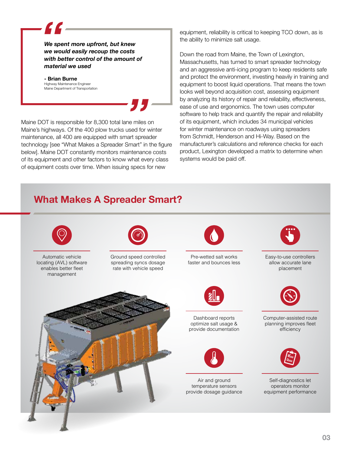*We spent more upfront, but knew we would easily recoup the costs with better control of the amount of material we used*

#### **- Brian Burne** Highway Maintenance Engineer Maine Department of Transportation

C C

Maine DOT is responsible for 8,300 total lane miles on Maine's highways. Of the 400 plow trucks used for winter maintenance, all 400 are equipped with smart spreader technology [see "What Makes a Spreader Smart" in the figure below]. Maine DOT constantly monitors maintenance costs of its equipment and other factors to know what every class of equipment costs over time. When issuing specs for new

equipment, reliability is critical to keeping TCO down, as is the ability to minimize salt usage.

Down the road from Maine, the Town of Lexington, Massachusetts, has turned to smart spreader technology and an aggressive anti-icing program to keep residents safe and protect the environment, investing heavily in training and equipment to boost liquid operations. That means the town looks well beyond acquisition cost, assessing equipment by analyzing its history of repair and reliability, effectiveness, ease of use and ergonomics. The town uses computer software to help track and quantify the repair and reliability of its equipment, which includes 34 municipal vehicles for winter maintenance on roadways using spreaders from Schmidt, Henderson and Hi-Way. Based on the manufacturer's calculations and reference checks for each product, Lexington developed a matrix to determine when systems would be paid off.

# **What Makes A Spreader Smart?**

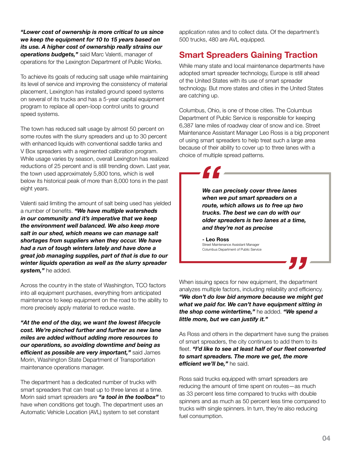*"Lower cost of ownership is more critical to us since we keep the equipment for 10 to 15 years based on its use. A higher cost of ownership really strains our operations budgets,"* said Marc Valenti, manager of operations for the Lexington Department of Public Works.

To achieve its goals of reducing salt usage while maintaining its level of service and improving the consistency of material placement, Lexington has installed ground speed systems on several of its trucks and has a 5-year capital equipment program to replace all open-loop control units to ground speed systems.

The town has reduced salt usage by almost 50 percent on some routes with the slurry spreaders and up to 30 percent with enhanced liquids with conventional saddle tanks and V Box spreaders with a regimented calibration program. While usage varies by season, overall Lexington has realized reductions of 25 percent and is still trending down. Last year, the town used approximately 5,800 tons, which is well below its historical peak of more than 8,000 tons in the past eight years.

Valenti said limiting the amount of salt being used has yielded a number of benefits. *"We have multiple watersheds in our community and it's imperative that we keep the environment well balanced. We also keep more salt in our shed, which means we can manage salt shortages from suppliers when they occur. We have had a run of tough winters lately and have done a great job managing supplies, part of that is due to our winter liquids operation as well as the slurry spreader system,"* he added.

Across the country in the state of Washington, TCO factors into all equipment purchases, everything from anticipated maintenance to keep equipment on the road to the ability to more precisely apply material to reduce waste.

*"At the end of the day, we want the lowest lifecycle cost. We're pinched further and further as new lane miles are added without adding more resources to our operations, so avoiding downtime and being as efficient as possible are very important,"* said James Morin, Washington State Department of Transportation maintenance operations manager.

The department has a dedicated number of trucks with smart spreaders that can treat up to three lanes at a time. Morin said smart spreaders are *"a tool in the toolbox"* to have when conditions get tough. The department uses an Automatic Vehicle Location (AVL) system to set constant

application rates and to collect data. Of the department's 500 trucks, 480 are AVL equipped.

## **Smart Spreaders Gaining Traction**

While many state and local maintenance departments have adopted smart spreader technology, Europe is still ahead of the United States with its use of smart spreader technology. But more states and cities in the United States are catching up.

Columbus, Ohio, is one of those cities. The Columbus Department of Public Service is responsible for keeping 6,387 lane miles of roadway clear of snow and ice. Street Maintenance Assistant Manager Leo Ross is a big proponent of using smart spreaders to help treat such a large area because of their ability to cover up to three lanes with a choice of multiple spread patterns.

> *We can precisely cover three lanes when we put smart spreaders on a route, which allows us to free up two trucks. The best we can do with our older spreaders is two lanes at a time, and they're not as precise*

**- Leo Ross** Street Maintenance Assistant Manager Columbus Department of Public Service

When issuing specs for new equipment, the department analyzes multiple factors, including reliability and efficiency. *"We don't do low bid anymore because we might get what we paid for. We can't have equipment sitting in the shop come wintertime,"* he added. *"We spend a little more, but we can justify it."*

As Ross and others in the department have sung the praises of smart spreaders, the city continues to add them to its fleet. *"I'd like to see at least half of our fleet converted to smart spreaders. The more we get, the more efficient we'll be,"* he said.

Ross said trucks equipped with smart spreaders are reducing the amount of time spent on routes—as much as 33 percent less time compared to trucks with double spinners and as much as 50 percent less time compared to trucks with single spinners. In turn, they're also reducing fuel consumption.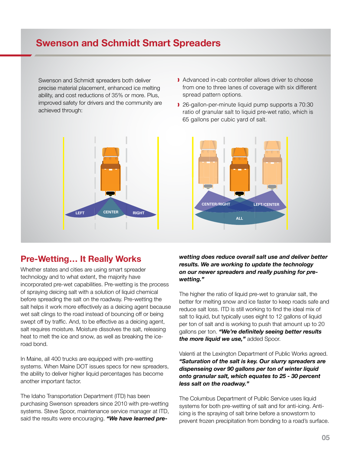# **Swenson and Schmidt Smart Spreaders**

Swenson and Schmidt spreaders both deliver precise material placement, enhanced ice melting ability, and cost reductions of 35% or more. Plus, improved safety for drivers and the community are achieved through:



#### **Pre-Wetting… It Really Works**

Whether states and cities are using smart spreader technology and to what extent, the majority have incorporated pre-wet capabilities. Pre-wetting is the process of spraying deicing salt with a solution of liquid chemical before spreading the salt on the roadway. Pre-wetting the salt helps it work more effectively as a deicing agent because wet salt clings to the road instead of bouncing off or being swept off by traffic. And, to be effective as a deicing agent, salt requires moisture. Moisture dissolves the salt, releasing heat to melt the ice and snow, as well as breaking the iceroad bond.

In Maine, all 400 trucks are equipped with pre-wetting systems. When Maine DOT issues specs for new spreaders, the ability to deliver higher liquid percentages has become another important factor.

The Idaho Transportation Department (ITD) has been purchasing Swenson spreaders since 2010 with pre-wetting systems. Steve Spoor, maintenance service manager at ITD, said the results were encouraging. *"We have learned pre-*

- Advanced in-cab controller allows driver to choose from one to three lanes of coverage with six different spread pattern options.
- ❱ 26-gallon-per-minute liquid pump supports a 70:30 ratio of granular salt to liquid pre-wet ratio, which is 65 gallons per cubic yard of salt.



*wetting does reduce overall salt use and deliver better results. We are working to update the technology on our newer spreaders and really pushing for prewetting."*

The higher the ratio of liquid pre-wet to granular salt, the better for melting snow and ice faster to keep roads safe and reduce salt loss. ITD is still working to find the ideal mix of salt to liquid, but typically uses eight to 12 gallons of liquid per ton of salt and is working to push that amount up to 20 gallons per ton. *"We're definitely seeing better results the more liquid we use,"* added Spoor.

Valenti at the Lexington Department of Public Works agreed. *"Saturation of the salt is key. Our slurry spreaders are dispenseing over 90 gallons per ton of winter liquid onto granular salt, which equates to 25 - 30 percent less salt on the roadway."*

The Columbus Department of Public Service uses liquid systems for both pre-wetting of salt and for anti-icing. Antiicing is the spraying of salt brine before a snowstorm to prevent frozen precipitation from bonding to a road's surface.